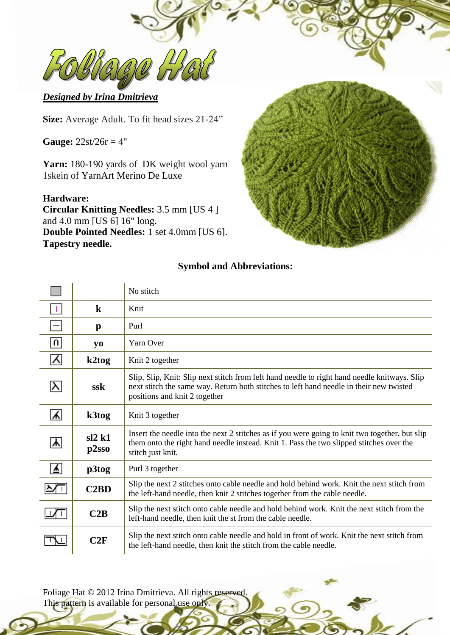$\mathcal{D}\left( \frac{U}{\mathcal{U}}\right)$ 

# *Designed by Irina Dmitrieva*

**Size:** Average Adult. To fit head sizes 21-24"

**Gauge:** 22st/26r = 4"

Yarn: 180-190 yards of DK weight wool yarn 1skein of [YarnArt Merino De Luxe](http://www.ravelry.com/yarns/library/yarnart-merino-de-luxe)

### **Hardware:**

**Circular Knitting Needles:** 3.5 mm [US 4 ] and 4.0 mm [US 6] 16" long. **Double Pointed Needles:** 1 set 4.0mm [US 6]. **Tapestry needle.**



# **Symbol and Abbreviations:**

|          |                | No stitch                                                                                                                                                                                                                |  |  |
|----------|----------------|--------------------------------------------------------------------------------------------------------------------------------------------------------------------------------------------------------------------------|--|--|
|          | $\bf k$        | Knit                                                                                                                                                                                                                     |  |  |
|          | $\mathbf{p}$   | Purl                                                                                                                                                                                                                     |  |  |
| $\Omega$ | yо             | Yarn Over                                                                                                                                                                                                                |  |  |
| 시        | k2tog          | Knit 2 together                                                                                                                                                                                                          |  |  |
|          | ssk            | Slip, Slip, Knit: Slip next stitch from left hand needle to right hand needle knitways. Slip<br>next stitch the same way. Return both stitches to left hand needle in their new twisted<br>positions and knit 2 together |  |  |
| 시        | k3tog          | Knit 3 together                                                                                                                                                                                                          |  |  |
| ᄉ        | sl2k1<br>p2sso | Insert the needle into the next 2 stitches as if you were going to knit two together, but slip<br>them onto the right hand needle instead. Knit 1. Pass the two slipped stitches over the<br>stitch just knit.           |  |  |
| ⊻        | p3tog          | Purl 3 together                                                                                                                                                                                                          |  |  |
|          | C2BD           | Slip the next 2 stitches onto cable needle and hold behind work. Knit the next stitch from<br>the left-hand needle, then knit 2 stitches together from the cable needle.                                                 |  |  |
|          | C2B            | Slip the next stitch onto cable needle and hold behind work. Knit the next stitch from the<br>left-hand needle, then knit the st from the cable needle.                                                                  |  |  |
|          | C2F            | Slip the next stitch onto cable needle and hold in front of work. Knit the next stitch from<br>the left-hand needle, then knit the stitch from the cable needle.                                                         |  |  |

Foliage Hat © 2012 Irina Dmitrieva. All rights reserved. This pattern is available for personal use only.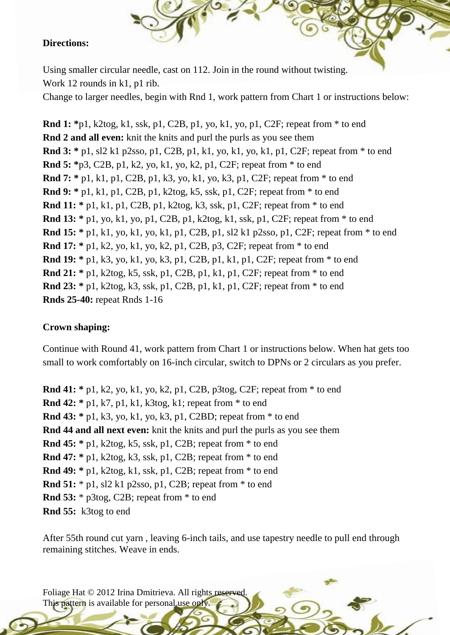#### **Directions:**

Using smaller circular needle, cast on 112. Join in the round without twisting. Work 12 rounds in k1, p1 rib.

Change to larger needles, begin with Rnd 1, work pattern from Chart 1 or instructions below:

**Rnd 1: \***p1, k2tog, k1, ssk, p1, C2B, p1, yo, k1, yo, p1, C2F; repeat from \* to end **Rnd 2 and all even:** knit the knits and purl the purls as you see them **Rnd 3: \*** p1, sl2 k1 p2sso, p1, C2B, p1, k1, yo, k1, yo, k1, p1, C2F; repeat from \* to end **Rnd 5: \***p3, C2B, p1, k2, yo, k1, yo, k2, p1, C2F; repeat from \* to end **Rnd 7: \*** p1, k1, p1, C2B, p1, k3, yo, k1, yo, k3, p1, C2F; repeat from \* to end **Rnd 9: \*** p1, k1, p1, C2B, p1, k2tog, k5, ssk, p1, C2F; repeat from \* to end **Rnd 11: \*** p1, k1, p1, C2B, p1, k2tog, k3, ssk, p1, C2F; repeat from \* to end **Rnd 13: \*** p1, yo, k1, yo, p1, C2B, p1, k2tog, k1, ssk, p1, C2F; repeat from \* to end **Rnd 15: \*** p1, k1, yo, k1, yo, k1, p1, C2B, p1, sl2 k1 p2sso, p1, C2F; repeat from \* to end **Rnd 17: \*** p1, k2, yo, k1, yo, k2, p1, C2B, p3, C2F; repeat from \* to end **Rnd 19: \*** p1, k3, yo, k1, yo, k3, p1, C2B, p1, k1, p1, C2F; repeat from \* to end **Rnd 21: \*** p1, k2tog, k5, ssk, p1, C2B, p1, k1, p1, C2F; repeat from \* to end **Rnd 23: \*** p1, k2tog, k3, ssk, p1, C2B, p1, k1, p1, C2F; repeat from \* to end **Rnds 25-40:** repeat Rnds 1-16

## **Crown shaping:**

Continue with Round 41, work pattern from Chart 1 or instructions below. When hat gets too small to work comfortably on 16-inch circular, switch to DPNs or 2 circulars as you prefer.

**Rnd 41: \*** p1, k2, yo, k1, yo, k2, p1, C2B, p3tog, C2F; repeat from \* to end **Rnd 42: \*** p1, k7, p1, k1, k3tog, k1; repeat from \* to end **Rnd 43: \*** p1, k3, yo, k1, yo, k3, p1, C2BD; repeat from \* to end **Rnd 44 and all next even:** knit the knits and purl the purls as you see them **Rnd 45: \*** p1, k2tog, k5, ssk, p1, C2B; repeat from \* to end **Rnd 47: \*** p1, k2tog, k3, ssk, p1, C2B; repeat from \* to end **Rnd 49: \*** p1, k2tog, k1, ssk, p1, C2B; repeat from \* to end **Rnd 51:** \* p1, sl2 k1 p2sso, p1, C2B; repeat from \* to end **Rnd 53:** \* p3tog, C2B; repeat from \* to end **Rnd 55:** k3tog to end

After 55th round cut yarn , leaving 6-inch tails, and use tapestry needle to pull end through remaining stitches. Weave in ends.

Foliage Hat © 2012 Irina Dmitrieva. All rights reserved This pattern is available for personal use only.